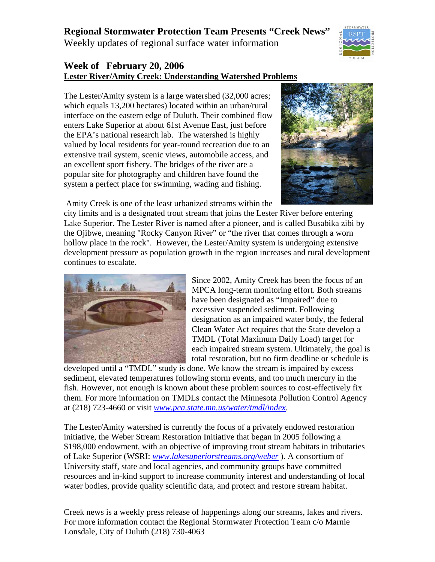## **Regional Stormwater Protection Team Presents "Creek News"**

Weekly updates of regional surface water information



## **Week of February 20, 2006 Lester River/Amity Creek: Understanding Watershed Problems**

The Lester/Amity system is a large watershed (32,000 acres; which equals 13,200 hectares) located within an urban/rural interface on the eastern edge of Duluth. Their combined flow enters Lake Superior at about 61st Avenue East, just before the EPA's national research lab. The watershed is highly valued by local residents for year-round recreation due to an extensive trail system, scenic views, automobile access, and an excellent sport fishery. The bridges of the river are a popular site for photography and children have found the system a perfect place for swimming, wading and fishing.



Amity Creek is one of the least urbanized streams within the

city limits and is a designated trout stream that joins the Lester River before entering Lake Superior. The Lester River is named after a pioneer, and is called Busabika zibi by the Ojibwe, meaning "Rocky Canyon River" or "the river that comes through a worn hollow place in the rock". However, the Lester/Amity system is undergoing extensive development pressure as population growth in the region increases and rural development continues to escalate.



Since 2002, Amity Creek has been the focus of an MPCA long-term monitoring effort. Both streams have been designated as "Impaired" due to excessive suspended sediment. Following designation as an impaired water body, the federal Clean Water Act requires that the State develop a TMDL (Total Maximum Daily Load) target for each impaired stream system. Ultimately, the goal is total restoration, but no firm deadline or schedule is

developed until a "TMDL" study is done. We know the stream is impaired by excess sediment, elevated temperatures following storm events, and too much mercury in the fish. However, not enough is known about these problem sources to cost-effectively fix them. For more information on TMDLs contact the Minnesota Pollution Control Agency at (218) 723-4660 or visit *www.pca.state.mn.us/water/tmdl/index*.

The Lester/Amity watershed is currently the focus of a privately endowed restoration initiative, the Weber Stream Restoration Initiative that began in 2005 following a \$198,000 endowment, with an objective of improving trout stream habitats in tributaries of Lake Superior (WSRI: *www.lakesuperiorstreams.org/weber* ). A consortium of University staff, state and local agencies, and community groups have committed resources and in-kind support to increase community interest and understanding of local water bodies, provide quality scientific data, and protect and restore stream habitat.

Creek news is a weekly press release of happenings along our streams, lakes and rivers. For more information contact the Regional Stormwater Protection Team c/o Marnie Lonsdale, City of Duluth (218) 730-4063